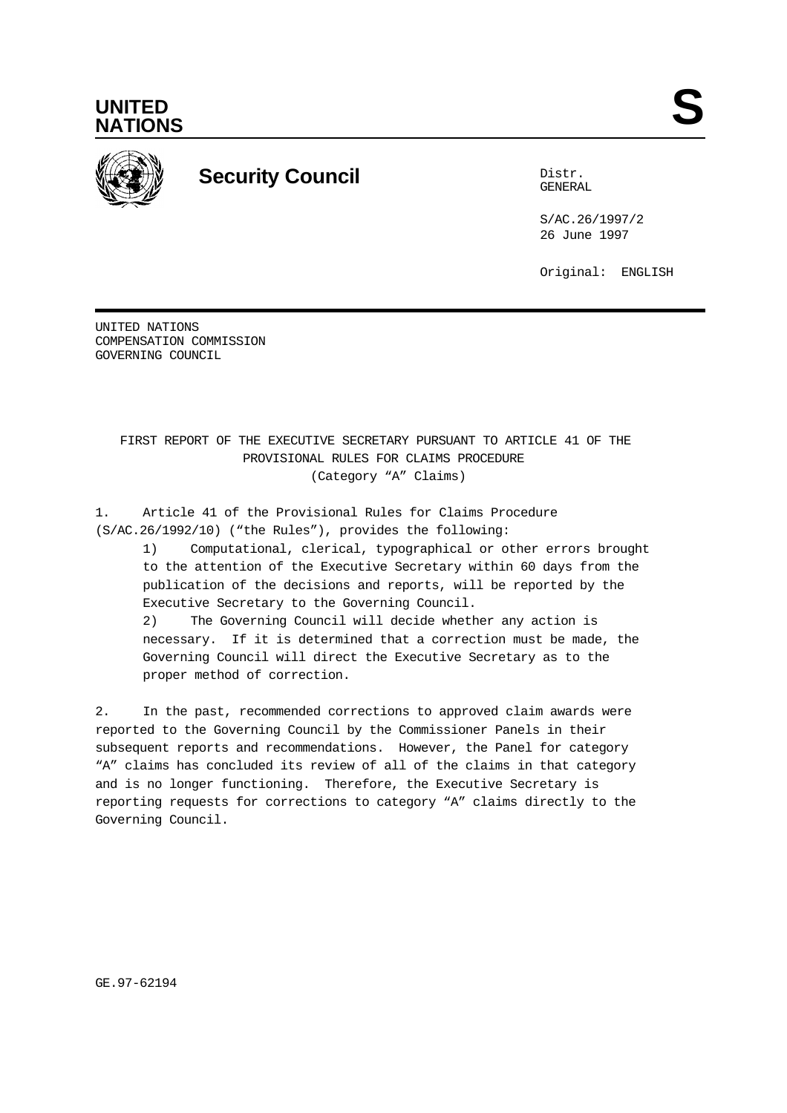



# **Security Council** Distribution of the Distribution of the Distribution of the Distribution of the Distribution of the Distribution of the Distribution of the Distribution of the Distribution of the Distribution of the Dis

GENERAL

S/AC.26/1997/2 26 June 1997

Original: ENGLISH

UNITED NATIONS COMPENSATION COMMISSION GOVERNING COUNCIL

> FIRST REPORT OF THE EXECUTIVE SECRETARY PURSUANT TO ARTICLE 41 OF THE PROVISIONAL RULES FOR CLAIMS PROCEDURE (Category "A" Claims)

1. Article 41 of the Provisional Rules for Claims Procedure (S/AC.26/1992/10) ("the Rules"), provides the following:

1) Computational, clerical, typographical or other errors brought to the attention of the Executive Secretary within 60 days from the publication of the decisions and reports, will be reported by the Executive Secretary to the Governing Council.

2) The Governing Council will decide whether any action is necessary. If it is determined that a correction must be made, the Governing Council will direct the Executive Secretary as to the proper method of correction.

2. In the past, recommended corrections to approved claim awards were reported to the Governing Council by the Commissioner Panels in their subsequent reports and recommendations. However, the Panel for category "A" claims has concluded its review of all of the claims in that category and is no longer functioning. Therefore, the Executive Secretary is reporting requests for corrections to category "A" claims directly to the Governing Council.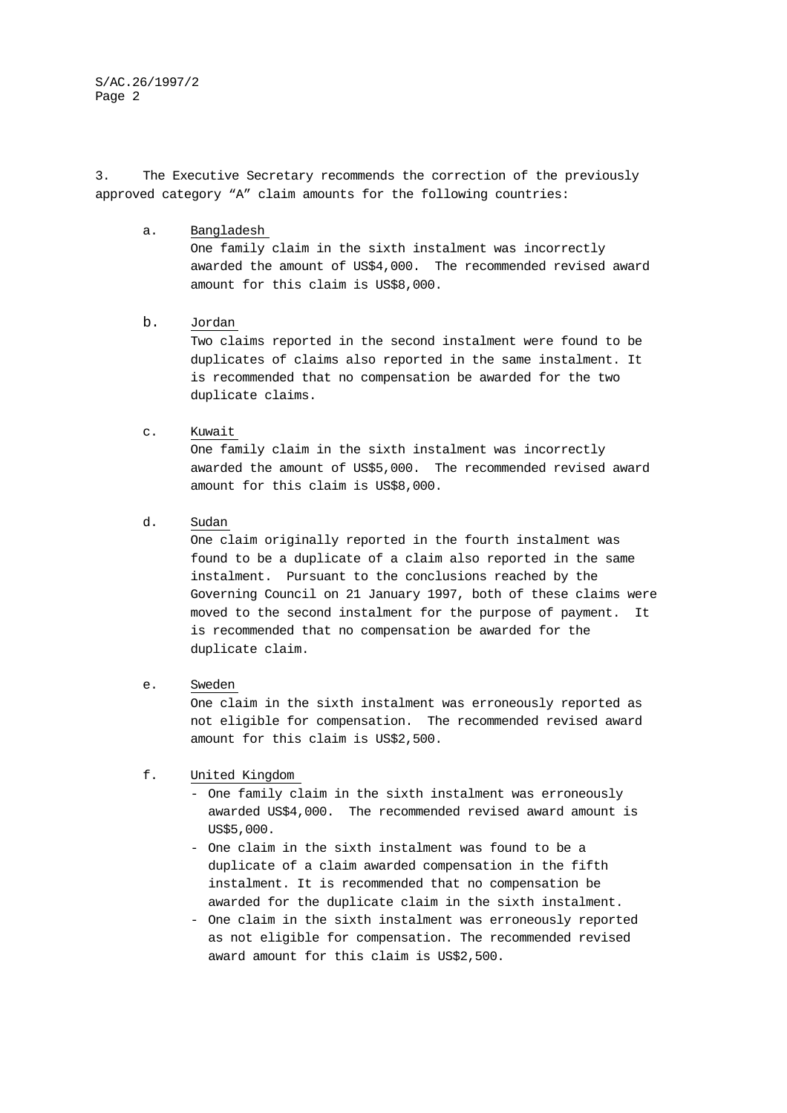S/AC.26/1997/2 Page 2

3. The Executive Secretary recommends the correction of the previously approved category "A" claim amounts for the following countries:

a. Bangladesh

One family claim in the sixth instalment was incorrectly awarded the amount of US\$4,000. The recommended revised award amount for this claim is US\$8,000.

## b. Jordan

Two claims reported in the second instalment were found to be duplicates of claims also reported in the same instalment. It is recommended that no compensation be awarded for the two duplicate claims.

#### c. Kuwait

One family claim in the sixth instalment was incorrectly awarded the amount of US\$5,000. The recommended revised award amount for this claim is US\$8,000.

d. Sudan

One claim originally reported in the fourth instalment was found to be a duplicate of a claim also reported in the same instalment. Pursuant to the conclusions reached by the Governing Council on 21 January 1997, both of these claims were moved to the second instalment for the purpose of payment. It is recommended that no compensation be awarded for the duplicate claim.

e. Sweden

One claim in the sixth instalment was erroneously reported as not eligible for compensation. The recommended revised award amount for this claim is US\$2,500.

### f. United Kingdom

- One family claim in the sixth instalment was erroneously awarded US\$4,000. The recommended revised award amount is US\$5,000.
- One claim in the sixth instalment was found to be a duplicate of a claim awarded compensation in the fifth instalment. It is recommended that no compensation be awarded for the duplicate claim in the sixth instalment.
- One claim in the sixth instalment was erroneously reported as not eligible for compensation. The recommended revised award amount for this claim is US\$2,500.